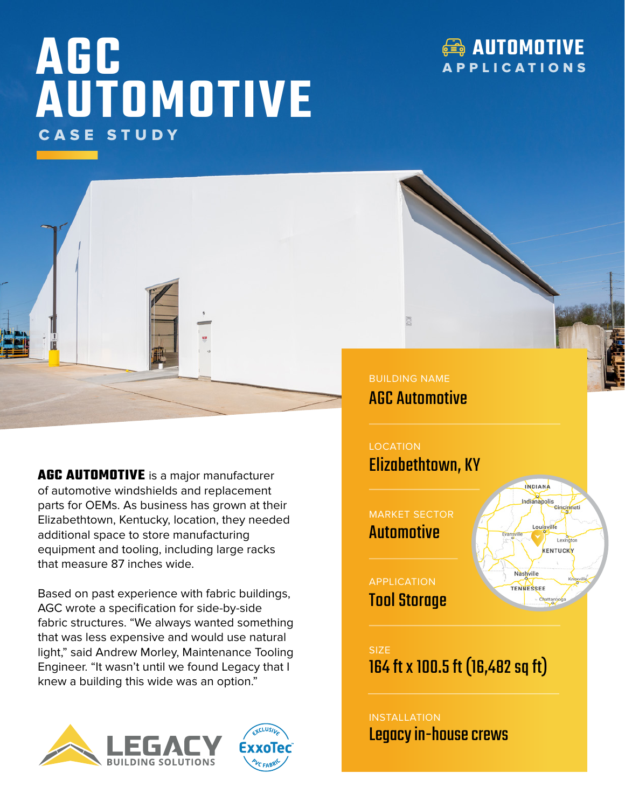## **AGC AUTOMOTIVE** CASE STUDY

## **AUTOMOTIVE** APPLICATIONS



**AGC AUTOMOTIVE** is a major manufacturer of automotive windshields and replacement parts for OEMs. As business has grown at their Elizabethtown, Kentucky, location, they needed additional space to store manufacturing equipment and tooling, including large racks that measure 87 inches wide.

Based on past experience with fabric buildings, AGC wrote a specification for side-by-side fabric structures. "We always wanted something that was less expensive and would use natural light," said Andrew Morley, Maintenance Tooling Engineer. "It wasn't until we found Legacy that I knew a building this wide was an option."





BUILDING NAME AGC Automotive

**LOCATION** Elizabethtown, KY

MARKET SECTOR Automotive

APPLICATION Tool Storage



SIZE 164 ft x 100.5 ft (16,482 sq ft)

## INSTALLATION Legacy in-house crews